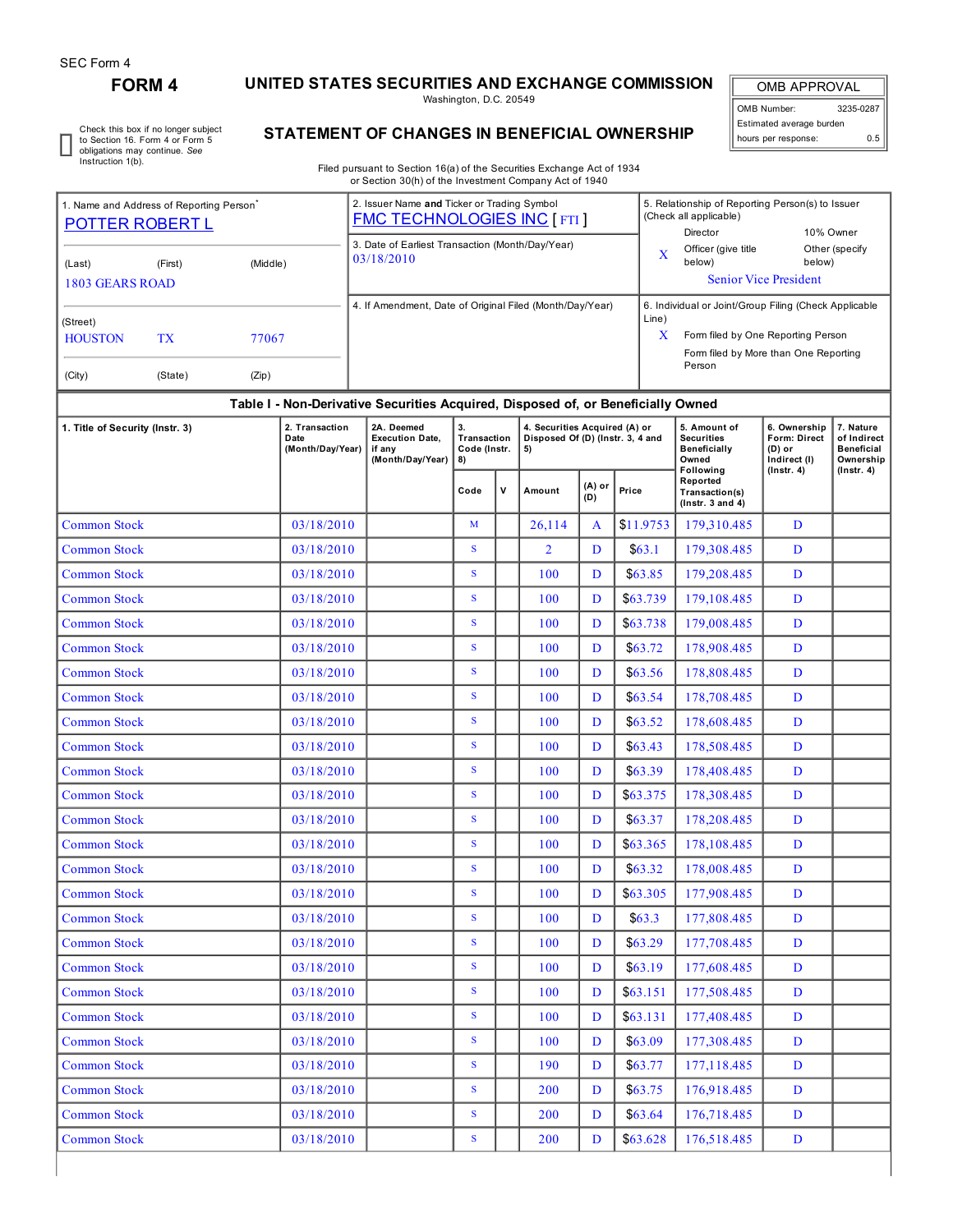r

# **FORM 4 UNITED STATES SECURITIES AND EXCHANGE COMMISSION**

Washington, D.C. 20549

OMB APPROVAL OMB Number: 3235-0287 Estimated average burden hours per response: 0.5

Check this box if no longer subject to Section 16. Form 4 or Form 5 obligations may continue. *See* Instruction 1(b).

## **STATEMENT OF CHANGES IN BENEFICIAL OWNERSHIP**

Filed pursuant to Section 16(a) of the Securities Exchange Act of 1934 or Section 30(h) of the Investment Company Act of 1940

| 1. Name and Address of Reporting Person<br>POTTER ROBERT L |           | 2. Issuer Name and Ticker or Trading Symbol<br><b>FMC TECHNOLOGIES INC [FTI]</b> |                                                                    |                                                                                  |              |                                                                         | 5. Relationship of Reporting Person(s) to Issuer<br>(Check all applicable)<br>Director<br>10% Owner |                                                                             |                                                               |                                                                   |                                                            |                  |  |  |
|------------------------------------------------------------|-----------|----------------------------------------------------------------------------------|--------------------------------------------------------------------|----------------------------------------------------------------------------------|--------------|-------------------------------------------------------------------------|-----------------------------------------------------------------------------------------------------|-----------------------------------------------------------------------------|---------------------------------------------------------------|-------------------------------------------------------------------|------------------------------------------------------------|------------------|--|--|
| (Last)<br><b>1803 GEARS ROAD</b>                           | (First)   | (Middle)                                                                         |                                                                    | 3. Date of Earliest Transaction (Month/Day/Year)<br>03/18/2010                   |              |                                                                         |                                                                                                     | X                                                                           | Officer (give title<br>below)<br><b>Senior Vice President</b> | Other (specify<br>below)                                          |                                                            |                  |  |  |
|                                                            |           |                                                                                  |                                                                    | 4. If Amendment, Date of Original Filed (Month/Day/Year)                         |              |                                                                         | 6. Individual or Joint/Group Filing (Check Applicable                                               |                                                                             |                                                               |                                                                   |                                                            |                  |  |  |
| (Street)<br><b>HOUSTON</b>                                 | <b>TX</b> | 77067                                                                            |                                                                    |                                                                                  |              |                                                                         | Line)<br>X                                                                                          | Form filed by One Reporting Person<br>Form filed by More than One Reporting |                                                               |                                                                   |                                                            |                  |  |  |
| (City)                                                     | (State)   | (Zip)                                                                            |                                                                    |                                                                                  |              |                                                                         |                                                                                                     |                                                                             | Person                                                        |                                                                   |                                                            |                  |  |  |
|                                                            |           |                                                                                  |                                                                    | Table I - Non-Derivative Securities Acquired, Disposed of, or Beneficially Owned |              |                                                                         |                                                                                                     |                                                                             |                                                               |                                                                   |                                                            |                  |  |  |
| 1. Title of Security (Instr. 3)                            |           | 2. Transaction<br>Date<br>(Month/Day/Year)                                       | 2A. Deemed<br><b>Execution Date,</b><br>if any<br>(Month/Day/Year) | 3.<br>Transaction<br>Code (Instr.<br>8)                                          |              | 4. Securities Acquired (A) or<br>Disposed Of (D) (Instr. 3, 4 and<br>5) |                                                                                                     |                                                                             | 5. Amount of<br><b>Securities</b><br>Beneficially<br>Owned    | 6. Ownership<br>Form: Direct<br>$(D)$ or<br>Indirect (I)          | 7. Nature<br>of Indirect<br><b>Beneficial</b><br>Ownership |                  |  |  |
|                                                            |           |                                                                                  |                                                                    |                                                                                  | Code         | ۷                                                                       | Amount                                                                                              | (A) or<br>(D)                                                               | Price                                                         | Following<br>Reported<br>Transaction(s)<br>$($ Instr. 3 and 4 $)$ | $($ Instr. 4 $)$                                           | $($ lnstr. 4 $)$ |  |  |
| <b>Common Stock</b>                                        |           |                                                                                  | 03/18/2010                                                         |                                                                                  | $\mathbf{M}$ |                                                                         | 26,114                                                                                              | A                                                                           | \$11.9753                                                     | 179,310.485                                                       | D                                                          |                  |  |  |
| <b>Common Stock</b>                                        |           |                                                                                  | 03/18/2010                                                         |                                                                                  | $\mathbf S$  |                                                                         | $\overline{2}$                                                                                      | D                                                                           | \$63.1                                                        | 179,308.485                                                       | D                                                          |                  |  |  |
| <b>Common Stock</b>                                        |           |                                                                                  | 03/18/2010                                                         |                                                                                  | S            |                                                                         | 100                                                                                                 | D                                                                           | \$63.85                                                       | 179,208.485                                                       | D                                                          |                  |  |  |
| <b>Common Stock</b>                                        |           |                                                                                  | 03/18/2010                                                         |                                                                                  | S            |                                                                         | 100                                                                                                 | D                                                                           | \$63.739                                                      | 179,108,485                                                       | D                                                          |                  |  |  |
| <b>Common Stock</b>                                        |           |                                                                                  | 03/18/2010                                                         |                                                                                  | S            |                                                                         | 100                                                                                                 | D                                                                           | \$63.738                                                      | 179,008.485                                                       | D                                                          |                  |  |  |
| <b>Common Stock</b>                                        |           |                                                                                  | 03/18/2010                                                         |                                                                                  | $\mathbf S$  |                                                                         | 100                                                                                                 | D                                                                           | \$63.72                                                       | 178,908.485                                                       | D                                                          |                  |  |  |
| <b>Common Stock</b>                                        |           |                                                                                  | 03/18/2010                                                         |                                                                                  | $\mathbf{s}$ |                                                                         | 100                                                                                                 | D                                                                           | \$63.56                                                       | 178,808.485                                                       | D                                                          |                  |  |  |
| <b>Common Stock</b>                                        |           |                                                                                  | 03/18/2010                                                         |                                                                                  | S            |                                                                         | 100                                                                                                 | D                                                                           | \$63.54                                                       | 178,708.485                                                       | D                                                          |                  |  |  |
| <b>Common Stock</b>                                        |           |                                                                                  | 03/18/2010                                                         |                                                                                  | S            |                                                                         | 100                                                                                                 | D                                                                           | \$63.52                                                       | 178,608.485                                                       | D                                                          |                  |  |  |
| <b>Common Stock</b>                                        |           |                                                                                  | 03/18/2010                                                         |                                                                                  | ${\bf S}$    |                                                                         | 100                                                                                                 | D                                                                           | \$63.43                                                       | 178,508.485                                                       | D                                                          |                  |  |  |
| <b>Common Stock</b>                                        |           |                                                                                  | 03/18/2010                                                         |                                                                                  | S            |                                                                         | 100                                                                                                 | D                                                                           | \$63.39                                                       | 178,408.485                                                       | D                                                          |                  |  |  |
| <b>Common Stock</b>                                        |           |                                                                                  | 03/18/2010                                                         |                                                                                  | S            |                                                                         | 100                                                                                                 | D                                                                           | \$63.375                                                      | 178,308.485                                                       | D                                                          |                  |  |  |
| <b>Common Stock</b>                                        |           |                                                                                  | 03/18/2010                                                         |                                                                                  | S            |                                                                         | 100                                                                                                 | D                                                                           | \$63.37                                                       | 178,208.485                                                       | D                                                          |                  |  |  |
| <b>Common Stock</b>                                        |           |                                                                                  | 03/18/2010                                                         |                                                                                  | S            |                                                                         | 100                                                                                                 | D                                                                           | \$63.365                                                      | 178,108.485                                                       | D                                                          |                  |  |  |
| <b>Common Stock</b>                                        |           |                                                                                  | 03/18/2010                                                         |                                                                                  | S            |                                                                         | 100                                                                                                 | D                                                                           | \$63.32                                                       | 178,008.485                                                       | D                                                          |                  |  |  |
| <b>Common Stock</b>                                        |           |                                                                                  | 03/18/2010                                                         |                                                                                  | S.           |                                                                         | 100                                                                                                 | $\mathbf{D}$                                                                | \$63.305                                                      | 177,908.485                                                       | D                                                          |                  |  |  |
| <b>Common Stock</b>                                        |           |                                                                                  | 03/18/2010                                                         |                                                                                  | S            |                                                                         | 100                                                                                                 | D                                                                           | \$63.3                                                        | 177,808.485                                                       | D                                                          |                  |  |  |
| <b>Common Stock</b>                                        |           |                                                                                  | 03/18/2010                                                         |                                                                                  | ${\bf S}$    |                                                                         | 100                                                                                                 | D                                                                           | \$63.29                                                       | 177,708.485                                                       | D                                                          |                  |  |  |
| <b>Common Stock</b>                                        |           |                                                                                  | 03/18/2010                                                         |                                                                                  | S            |                                                                         | 100                                                                                                 | D                                                                           | \$63.19                                                       | 177,608.485                                                       | D                                                          |                  |  |  |
| <b>Common Stock</b>                                        |           |                                                                                  | 03/18/2010                                                         |                                                                                  | S            |                                                                         | 100                                                                                                 | D                                                                           | \$63.151                                                      | 177,508.485                                                       | D                                                          |                  |  |  |
| <b>Common Stock</b>                                        |           |                                                                                  | 03/18/2010                                                         |                                                                                  | ${\bf S}$    |                                                                         | 100                                                                                                 | D                                                                           | \$63.131                                                      | 177,408,485                                                       | D                                                          |                  |  |  |
| <b>Common Stock</b>                                        |           |                                                                                  | 03/18/2010                                                         |                                                                                  | S            |                                                                         | 100                                                                                                 | D                                                                           | \$63.09                                                       | 177,308.485                                                       | D                                                          |                  |  |  |
| <b>Common Stock</b>                                        |           |                                                                                  | 03/18/2010                                                         |                                                                                  | ${\bf S}$    |                                                                         | 190                                                                                                 | D                                                                           | \$63.77                                                       | 177,118.485                                                       | D                                                          |                  |  |  |
| <b>Common Stock</b>                                        |           |                                                                                  | 03/18/2010                                                         |                                                                                  | S            |                                                                         | <b>200</b>                                                                                          | D                                                                           | \$63.75                                                       | 176,918.485                                                       | D                                                          |                  |  |  |
| <b>Common Stock</b>                                        |           |                                                                                  | 03/18/2010                                                         |                                                                                  | S            |                                                                         | 200                                                                                                 | D                                                                           | \$63.64                                                       | 176,718.485                                                       | D                                                          |                  |  |  |
| <b>Common Stock</b>                                        |           |                                                                                  | 03/18/2010                                                         |                                                                                  | ${\bf S}$    |                                                                         | 200                                                                                                 | D                                                                           | \$63.628                                                      | 176,518.485                                                       | $\mathbf{D}$                                               |                  |  |  |